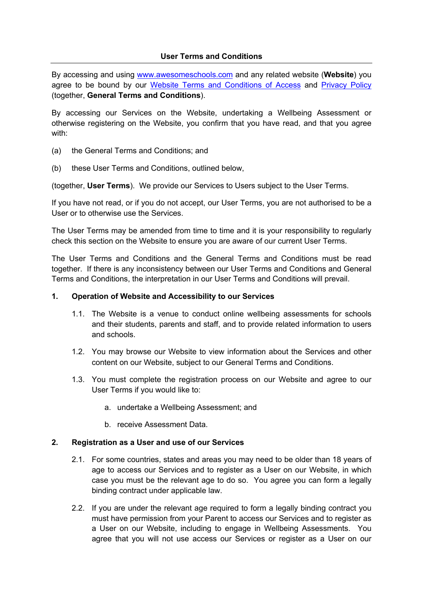## **User Terms and Conditions**

By accessing and using www.awesomeschools.com and any related website (**Website**) you agree to be bound by our Website Terms and Conditions of Access and Privacy Policy (together, **General Terms and Conditions**).

By accessing our Services on the Website, undertaking a Wellbeing Assessment or otherwise registering on the Website, you confirm that you have read, and that you agree with:

- (a) the General Terms and Conditions; and
- (b) these User Terms and Conditions, outlined below,

(together, **User Terms**). We provide our Services to Users subject to the User Terms.

If you have not read, or if you do not accept, our User Terms, you are not authorised to be a User or to otherwise use the Services.

The User Terms may be amended from time to time and it is your responsibility to regularly check this section on the Website to ensure you are aware of our current User Terms.

The User Terms and Conditions and the General Terms and Conditions must be read together. If there is any inconsistency between our User Terms and Conditions and General Terms and Conditions, the interpretation in our User Terms and Conditions will prevail.

## **1. Operation of Website and Accessibility to our Services**

- 1.1. The Website is a venue to conduct online wellbeing assessments for schools and their students, parents and staff, and to provide related information to users and schools.
- 1.2. You may browse our Website to view information about the Services and other content on our Website, subject to our General Terms and Conditions.
- 1.3. You must complete the registration process on our Website and agree to our User Terms if you would like to:
	- a. undertake a Wellbeing Assessment; and
	- b. receive Assessment Data.

#### **2. Registration as a User and use of our Services**

- 2.1. For some countries, states and areas you may need to be older than 18 years of age to access our Services and to register as a User on our Website, in which case you must be the relevant age to do so. You agree you can form a legally binding contract under applicable law.
- 2.2. If you are under the relevant age required to form a legally binding contract you must have permission from your Parent to access our Services and to register as a User on our Website, including to engage in Wellbeing Assessments. You agree that you will not use access our Services or register as a User on our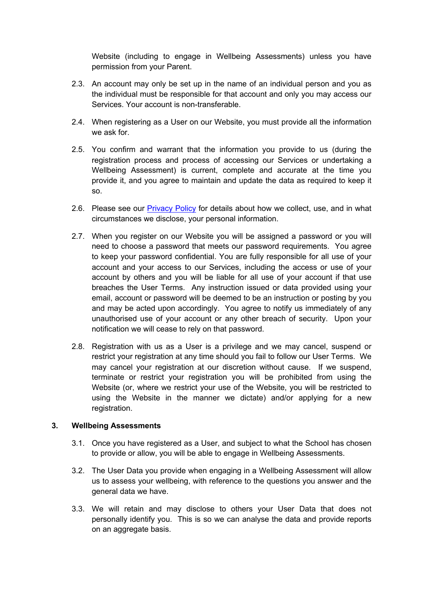Website (including to engage in Wellbeing Assessments) unless you have permission from your Parent.

- 2.3. An account may only be set up in the name of an individual person and you as the individual must be responsible for that account and only you may access our Services. Your account is non-transferable.
- 2.4. When registering as a User on our Website, you must provide all the information we ask for.
- 2.5. You confirm and warrant that the information you provide to us (during the registration process and process of accessing our Services or undertaking a Wellbeing Assessment) is current, complete and accurate at the time you provide it, and you agree to maintain and update the data as required to keep it so.
- 2.6. Please see our Privacy Policy for details about how we collect, use, and in what circumstances we disclose, your personal information.
- 2.7. When you register on our Website you will be assigned a password or you will need to choose a password that meets our password requirements. You agree to keep your password confidential. You are fully responsible for all use of your account and your access to our Services, including the access or use of your account by others and you will be liable for all use of your account if that use breaches the User Terms. Any instruction issued or data provided using your email, account or password will be deemed to be an instruction or posting by you and may be acted upon accordingly. You agree to notify us immediately of any unauthorised use of your account or any other breach of security. Upon your notification we will cease to rely on that password.
- 2.8. Registration with us as a User is a privilege and we may cancel, suspend or restrict your registration at any time should you fail to follow our User Terms. We may cancel your registration at our discretion without cause. If we suspend, terminate or restrict your registration you will be prohibited from using the Website (or, where we restrict your use of the Website, you will be restricted to using the Website in the manner we dictate) and/or applying for a new registration.

#### **3. Wellbeing Assessments**

- 3.1. Once you have registered as a User, and subject to what the School has chosen to provide or allow, you will be able to engage in Wellbeing Assessments.
- 3.2. The User Data you provide when engaging in a Wellbeing Assessment will allow us to assess your wellbeing, with reference to the questions you answer and the general data we have.
- 3.3. We will retain and may disclose to others your User Data that does not personally identify you. This is so we can analyse the data and provide reports on an aggregate basis.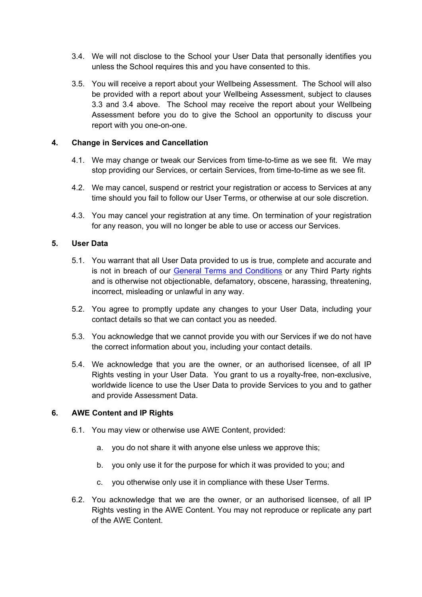- 3.4. We will not disclose to the School your User Data that personally identifies you unless the School requires this and you have consented to this.
- 3.5. You will receive a report about your Wellbeing Assessment. The School will also be provided with a report about your Wellbeing Assessment, subject to clauses 3.3 and 3.4 above. The School may receive the report about your Wellbeing Assessment before you do to give the School an opportunity to discuss your report with you one-on-one.

# **4. Change in Services and Cancellation**

- 4.1. We may change or tweak our Services from time-to-time as we see fit. We may stop providing our Services, or certain Services, from time-to-time as we see fit.
- 4.2. We may cancel, suspend or restrict your registration or access to Services at any time should you fail to follow our User Terms, or otherwise at our sole discretion.
- 4.3. You may cancel your registration at any time. On termination of your registration for any reason, you will no longer be able to use or access our Services.

# **5. User Data**

- 5.1. You warrant that all User Data provided to us is true, complete and accurate and is not in breach of our General Terms and Conditions or any Third Party rights and is otherwise not objectionable, defamatory, obscene, harassing, threatening, incorrect, misleading or unlawful in any way.
- 5.2. You agree to promptly update any changes to your User Data, including your contact details so that we can contact you as needed.
- 5.3. You acknowledge that we cannot provide you with our Services if we do not have the correct information about you, including your contact details.
- 5.4. We acknowledge that you are the owner, or an authorised licensee, of all IP Rights vesting in your User Data. You grant to us a royalty-free, non-exclusive, worldwide licence to use the User Data to provide Services to you and to gather and provide Assessment Data.

#### **6. AWE Content and IP Rights**

- 6.1. You may view or otherwise use AWE Content, provided:
	- a. you do not share it with anyone else unless we approve this;
	- b. you only use it for the purpose for which it was provided to you; and
	- c. you otherwise only use it in compliance with these User Terms.
- 6.2. You acknowledge that we are the owner, or an authorised licensee, of all IP Rights vesting in the AWE Content. You may not reproduce or replicate any part of the AWE Content.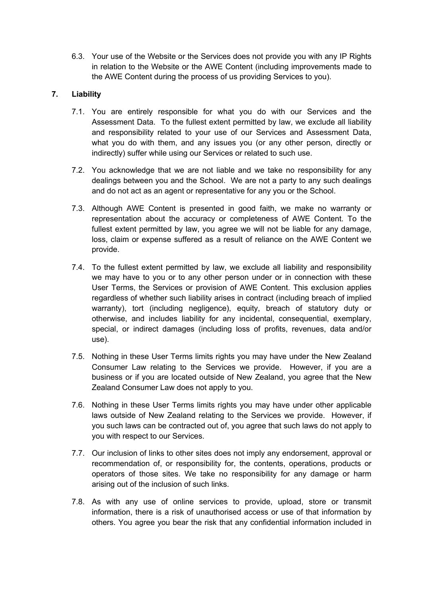6.3. Your use of the Website or the Services does not provide you with any IP Rights in relation to the Website or the AWE Content (including improvements made to the AWE Content during the process of us providing Services to you).

# **7. Liability**

- 7.1. You are entirely responsible for what you do with our Services and the Assessment Data. To the fullest extent permitted by law, we exclude all liability and responsibility related to your use of our Services and Assessment Data, what you do with them, and any issues you (or any other person, directly or indirectly) suffer while using our Services or related to such use.
- 7.2. You acknowledge that we are not liable and we take no responsibility for any dealings between you and the School. We are not a party to any such dealings and do not act as an agent or representative for any you or the School.
- 7.3. Although AWE Content is presented in good faith, we make no warranty or representation about the accuracy or completeness of AWE Content. To the fullest extent permitted by law, you agree we will not be liable for any damage, loss, claim or expense suffered as a result of reliance on the AWE Content we provide.
- 7.4. To the fullest extent permitted by law, we exclude all liability and responsibility we may have to you or to any other person under or in connection with these User Terms, the Services or provision of AWE Content. This exclusion applies regardless of whether such liability arises in contract (including breach of implied warranty), tort (including negligence), equity, breach of statutory duty or otherwise, and includes liability for any incidental, consequential, exemplary, special, or indirect damages (including loss of profits, revenues, data and/or use).
- 7.5. Nothing in these User Terms limits rights you may have under the New Zealand Consumer Law relating to the Services we provide. However, if you are a business or if you are located outside of New Zealand, you agree that the New Zealand Consumer Law does not apply to you.
- 7.6. Nothing in these User Terms limits rights you may have under other applicable laws outside of New Zealand relating to the Services we provide. However, if you such laws can be contracted out of, you agree that such laws do not apply to you with respect to our Services.
- 7.7. Our inclusion of links to other sites does not imply any endorsement, approval or recommendation of, or responsibility for, the contents, operations, products or operators of those sites. We take no responsibility for any damage or harm arising out of the inclusion of such links.
- 7.8. As with any use of online services to provide, upload, store or transmit information, there is a risk of unauthorised access or use of that information by others. You agree you bear the risk that any confidential information included in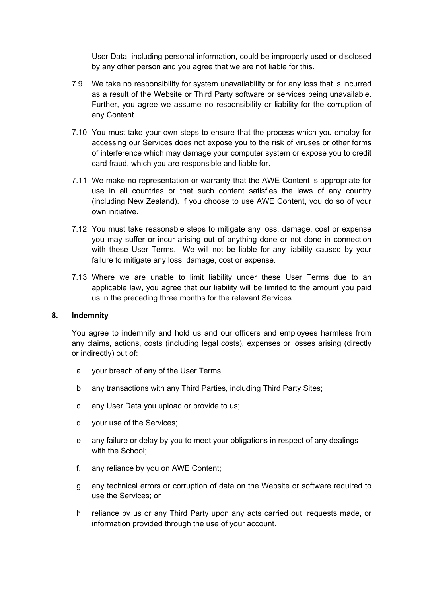User Data, including personal information, could be improperly used or disclosed by any other person and you agree that we are not liable for this.

- 7.9. We take no responsibility for system unavailability or for any loss that is incurred as a result of the Website or Third Party software or services being unavailable. Further, you agree we assume no responsibility or liability for the corruption of any Content.
- 7.10. You must take your own steps to ensure that the process which you employ for accessing our Services does not expose you to the risk of viruses or other forms of interference which may damage your computer system or expose you to credit card fraud, which you are responsible and liable for.
- 7.11. We make no representation or warranty that the AWE Content is appropriate for use in all countries or that such content satisfies the laws of any country (including New Zealand). If you choose to use AWE Content, you do so of your own initiative.
- 7.12. You must take reasonable steps to mitigate any loss, damage, cost or expense you may suffer or incur arising out of anything done or not done in connection with these User Terms. We will not be liable for any liability caused by your failure to mitigate any loss, damage, cost or expense.
- 7.13. Where we are unable to limit liability under these User Terms due to an applicable law, you agree that our liability will be limited to the amount you paid us in the preceding three months for the relevant Services.

#### **8. Indemnity**

You agree to indemnify and hold us and our officers and employees harmless from any claims, actions, costs (including legal costs), expenses or losses arising (directly or indirectly) out of:

- a. your breach of any of the User Terms;
- b. any transactions with any Third Parties, including Third Party Sites;
- c. any User Data you upload or provide to us;
- d. your use of the Services;
- e. any failure or delay by you to meet your obligations in respect of any dealings with the School;
- f. any reliance by you on AWE Content;
- g. any technical errors or corruption of data on the Website or software required to use the Services; or
- h. reliance by us or any Third Party upon any acts carried out, requests made, or information provided through the use of your account.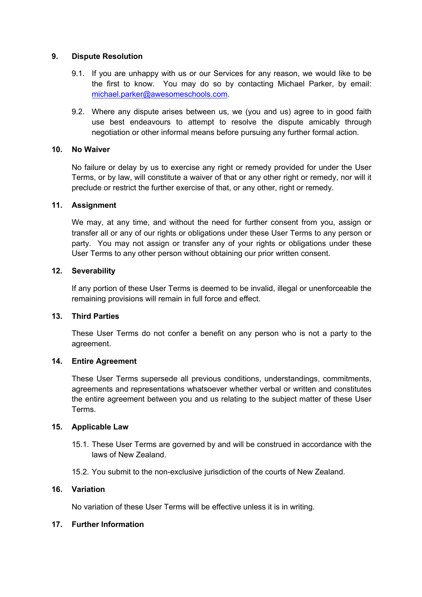## **9. Dispute Resolution**

- 9.1. If you are unhappy with us or our Services for any reason, we would like to be the first to know. You may do so by contacting Michael Parker, by email: michael.parker@awesomeschools.com.
- 9.2. Where any dispute arises between us, we (you and us) agree to in good faith use best endeavours to attempt to resolve the dispute amicably through negotiation or other informal means before pursuing any further formal action.

#### **10. No Waiver**

No failure or delay by us to exercise any right or remedy provided for under the User Terms, or by law, will constitute a waiver of that or any other right or remedy, nor will it preclude or restrict the further exercise of that, or any other, right or remedy.

#### **11. Assignment**

We may, at any time, and without the need for further consent from you, assign or transfer all or any of our rights or obligations under these User Terms to any person or party. You may not assign or transfer any of your rights or obligations under these User Terms to any other person without obtaining our prior written consent.

#### **12. Severability**

If any portion of these User Terms is deemed to be invalid, illegal or unenforceable the remaining provisions will remain in full force and effect.

## **13. Third Parties**

These User Terms do not confer a benefit on any person who is not a party to the agreement.

## **14. Entire Agreement**

These User Terms supersede all previous conditions, understandings, commitments, agreements and representations whatsoever whether verbal or written and constitutes the entire agreement between you and us relating to the subject matter of these User Terms.

#### **15. Applicable Law**

- 15.1. These User Terms are governed by and will be construed in accordance with the laws of New Zealand.
- 15.2. You submit to the non-exclusive jurisdiction of the courts of New Zealand.

#### **16. Variation**

No variation of these User Terms will be effective unless it is in writing.

## **17. Further Information**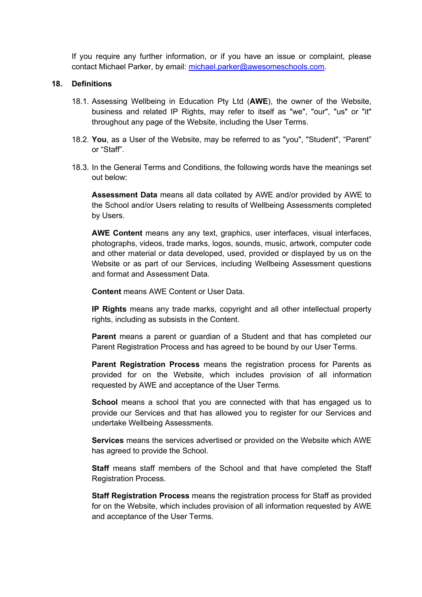If you require any further information, or if you have an issue or complaint, please contact Michael Parker, by email: michael.parker@awesomeschools.com.

#### **18. Definitions**

- 18.1. Assessing Wellbeing in Education Pty Ltd (**AWE**), the owner of the Website, business and related IP Rights, may refer to itself as "we", "our", "us" or "it" throughout any page of the Website, including the User Terms.
- 18.2. **You**, as a User of the Website, may be referred to as "you", "Student", "Parent" or "Staff".
- 18.3. In the General Terms and Conditions, the following words have the meanings set out below:

**Assessment Data** means all data collated by AWE and/or provided by AWE to the School and/or Users relating to results of Wellbeing Assessments completed by Users.

**AWE Content** means any any text, graphics, user interfaces, visual interfaces, photographs, videos, trade marks, logos, sounds, music, artwork, computer code and other material or data developed, used, provided or displayed by us on the Website or as part of our Services, including Wellbeing Assessment questions and format and Assessment Data.

**Content** means AWE Content or User Data.

**IP Rights** means any trade marks, copyright and all other intellectual property rights, including as subsists in the Content.

**Parent** means a parent or guardian of a Student and that has completed our Parent Registration Process and has agreed to be bound by our User Terms.

**Parent Registration Process** means the registration process for Parents as provided for on the Website, which includes provision of all information requested by AWE and acceptance of the User Terms.

**School** means a school that you are connected with that has engaged us to provide our Services and that has allowed you to register for our Services and undertake Wellbeing Assessments.

**Services** means the services advertised or provided on the Website which AWE has agreed to provide the School.

**Staff** means staff members of the School and that have completed the Staff Registration Process.

**Staff Registration Process** means the registration process for Staff as provided for on the Website, which includes provision of all information requested by AWE and acceptance of the User Terms.